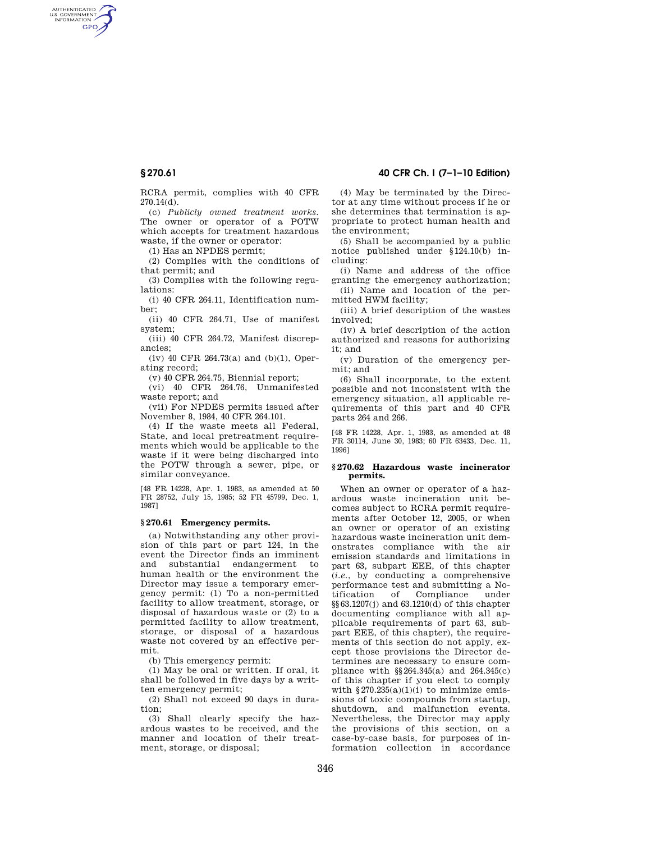AUTHENTICATED<br>U.S. GOVERNMENT<br>INFORMATION **GPO** 

**§ 270.61 40 CFR Ch. I (7–1–10 Edition)** 

RCRA permit, complies with 40 CFR 270.14(d).

(c) *Publicly owned treatment works.*  The owner or operator of a POTW which accepts for treatment hazardous waste, if the owner or operator:

(1) Has an NPDES permit;

(2) Complies with the conditions of that permit; and

(3) Complies with the following regulations:

(i) 40 CFR 264.11, Identification number;

(ii) 40 CFR 264.71, Use of manifest system;

(iii) 40 CFR 264.72, Manifest discrepancies;

(iv) 40 CFR 264.73(a) and (b)(1), Operating record;

(v) 40 CFR 264.75, Biennial report;

(vi) 40 CFR 264.76, Unmanifested waste report; and

(vii) For NPDES permits issued after November 8, 1984, 40 CFR 264.101.

(4) If the waste meets all Federal, State, and local pretreatment requirements which would be applicable to the waste if it were being discharged into the POTW through a sewer, pipe, or similar conveyance.

[48 FR 14228, Apr. 1, 1983, as amended at 50 FR 28752, July 15, 1985; 52 FR 45799, Dec. 1, 1987]

### **§ 270.61 Emergency permits.**

(a) Notwithstanding any other provision of this part or part 124, in the event the Director finds an imminent and substantial endangerment to human health or the environment the Director may issue a temporary emergency permit: (1) To a non-permitted facility to allow treatment, storage, or disposal of hazardous waste or (2) to a permitted facility to allow treatment, storage, or disposal of a hazardous waste not covered by an effective permit.

(b) This emergency permit:

(1) May be oral or written. If oral, it shall be followed in five days by a written emergency permit;

(2) Shall not exceed 90 days in duration;

(3) Shall clearly specify the hazardous wastes to be received, and the manner and location of their treatment, storage, or disposal;

(4) May be terminated by the Director at any time without process if he or she determines that termination is appropriate to protect human health and the environment;

(5) Shall be accompanied by a public notice published under §124.10(b) including:

(i) Name and address of the office granting the emergency authorization;

(ii) Name and location of the permitted HWM facility;

(iii) A brief description of the wastes involved;

(iv) A brief description of the action authorized and reasons for authorizing it; and

(v) Duration of the emergency permit; and

(6) Shall incorporate, to the extent possible and not inconsistent with the emergency situation, all applicable requirements of this part and 40 CFR parts 264 and 266.

[48 FR 14228, Apr. 1, 1983, as amended at 48 FR 30114, June 30, 1983; 60 FR 63433, Dec. 11, 1996]

#### **§ 270.62 Hazardous waste incinerator permits.**

When an owner or operator of a hazardous waste incineration unit becomes subject to RCRA permit requirements after October 12, 2005, or when an owner or operator of an existing hazardous waste incineration unit demonstrates compliance with the air emission standards and limitations in part 63, subpart EEE, of this chapter (*i.e.*, by conducting a comprehensive performance test and submitting a No-<br>tification of Compliance under Compliance under  $\S$ §63.1207(j) and 63.1210(d) of this chapter documenting compliance with all applicable requirements of part 63, subpart EEE, of this chapter), the requirements of this section do not apply, except those provisions the Director determines are necessary to ensure compliance with §§264.345(a) and 264.345(c) of this chapter if you elect to comply with  $$270.235(a)(1)(i)$  to minimize emissions of toxic compounds from startup, shutdown, and malfunction events. Nevertheless, the Director may apply the provisions of this section, on a case-by-case basis, for purposes of information collection in accordance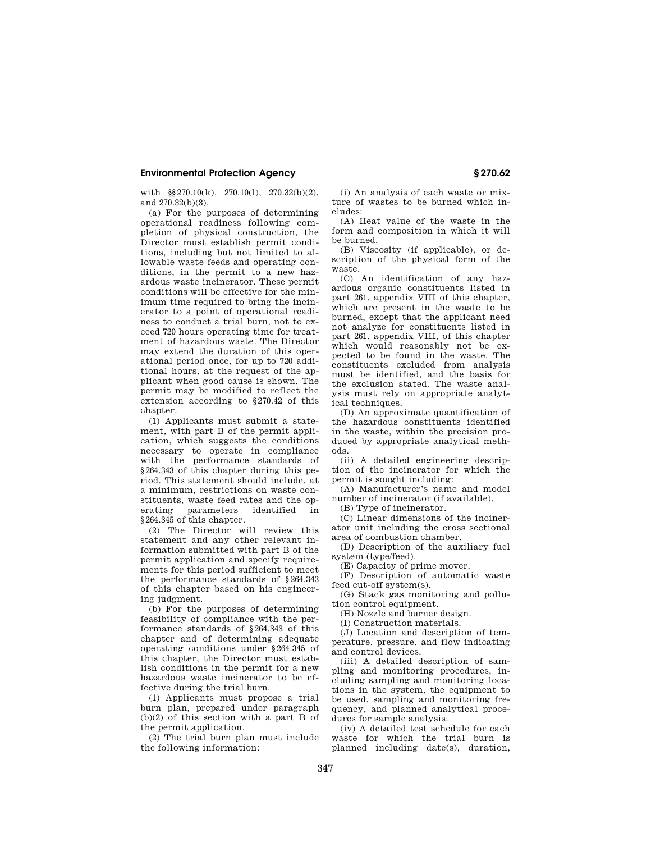## **Environmental Protection Agency § 270.62**

with §§270.10(k), 270.10(l), 270.32(b)(2), and 270.32(b)(3).

(a) For the purposes of determining operational readiness following completion of physical construction, the Director must establish permit conditions, including but not limited to allowable waste feeds and operating conditions, in the permit to a new hazardous waste incinerator. These permit conditions will be effective for the minimum time required to bring the incinerator to a point of operational readiness to conduct a trial burn, not to exceed 720 hours operating time for treatment of hazardous waste. The Director may extend the duration of this operational period once, for up to 720 additional hours, at the request of the applicant when good cause is shown. The permit may be modified to reflect the extension according to §270.42 of this chapter.

(1) Applicants must submit a statement, with part B of the permit application, which suggests the conditions necessary to operate in compliance with the performance standards of §264.343 of this chapter during this period. This statement should include, at a minimum, restrictions on waste constituents, waste feed rates and the operating parameters identified in §264.345 of this chapter.

(2) The Director will review this statement and any other relevant information submitted with part B of the permit application and specify requirements for this period sufficient to meet the performance standards of §264.343 of this chapter based on his engineering judgment.

(b) For the purposes of determining feasibility of compliance with the performance standards of §264.343 of this chapter and of determining adequate operating conditions under §264.345 of this chapter, the Director must establish conditions in the permit for a new hazardous waste incinerator to be effective during the trial burn.

(1) Applicants must propose a trial burn plan, prepared under paragraph (b)(2) of this section with a part B of the permit application.

(2) The trial burn plan must include the following information:

(i) An analysis of each waste or mixture of wastes to be burned which includes:

(A) Heat value of the waste in the form and composition in which it will be burned.

(B) Viscosity (if applicable), or description of the physical form of the waste.

(C) An identification of any hazardous organic constituents listed in part 261, appendix VIII of this chapter, which are present in the waste to be burned, except that the applicant need not analyze for constituents listed in part 261, appendix VIII, of this chapter which would reasonably not be expected to be found in the waste. The constituents excluded from analysis must be identified, and the basis for the exclusion stated. The waste analysis must rely on appropriate analytical techniques.

(D) An approximate quantification of the hazardous constituents identified in the waste, within the precision produced by appropriate analytical methods.

(ii) A detailed engineering description of the incinerator for which the permit is sought including:

(A) Manufacturer's name and model number of incinerator (if available).

(B) Type of incinerator.

(C) Linear dimensions of the incinerator unit including the cross sectional area of combustion chamber.

(D) Description of the auxiliary fuel system (type/feed).

(E) Capacity of prime mover.

(F) Description of automatic waste feed cut-off system(s).

(G) Stack gas monitoring and pollution control equipment.

(H) Nozzle and burner design.

(I) Construction materials.

(J) Location and description of temperature, pressure, and flow indicating and control devices.

(iii) A detailed description of sampling and monitoring procedures, including sampling and monitoring locations in the system, the equipment to be used, sampling and monitoring frequency, and planned analytical procedures for sample analysis.

(iv) A detailed test schedule for each waste for which the trial burn is planned including date(s), duration,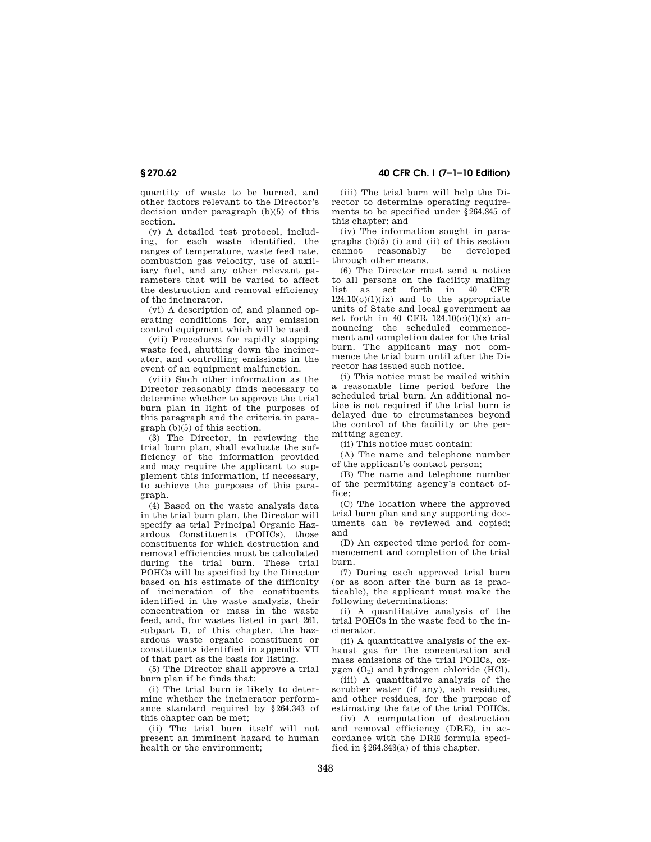quantity of waste to be burned, and other factors relevant to the Director's decision under paragraph (b)(5) of this section.

(v) A detailed test protocol, including, for each waste identified, the ranges of temperature, waste feed rate, combustion gas velocity, use of auxiliary fuel, and any other relevant parameters that will be varied to affect the destruction and removal efficiency of the incinerator.

(vi) A description of, and planned operating conditions for, any emission control equipment which will be used.

(vii) Procedures for rapidly stopping waste feed, shutting down the incinerator, and controlling emissions in the event of an equipment malfunction.

(viii) Such other information as the Director reasonably finds necessary to determine whether to approve the trial burn plan in light of the purposes of this paragraph and the criteria in paragraph (b)(5) of this section.

(3) The Director, in reviewing the trial burn plan, shall evaluate the sufficiency of the information provided and may require the applicant to supplement this information, if necessary, to achieve the purposes of this paragraph.

(4) Based on the waste analysis data in the trial burn plan, the Director will specify as trial Principal Organic Hazardous Constituents (POHCs), those constituents for which destruction and removal efficiencies must be calculated during the trial burn. These trial POHCs will be specified by the Director based on his estimate of the difficulty of incineration of the constituents identified in the waste analysis, their concentration or mass in the waste feed, and, for wastes listed in part 261, subpart D, of this chapter, the hazardous waste organic constituent or constituents identified in appendix VII of that part as the basis for listing.

(5) The Director shall approve a trial burn plan if he finds that:

(i) The trial burn is likely to determine whether the incinerator performance standard required by §264.343 of this chapter can be met;

(ii) The trial burn itself will not present an imminent hazard to human health or the environment;

**§ 270.62 40 CFR Ch. I (7–1–10 Edition)** 

(iii) The trial burn will help the Director to determine operating requirements to be specified under §264.345 of this chapter; and

(iv) The information sought in paragraphs (b)(5) (i) and (ii) of this section reasonably through other means.

(6) The Director must send a notice to all persons on the facility mailing list as set forth in 40 CFR  $124.10(c)(1)(ix)$  and to the appropriate units of State and local government as set forth in 40 CFR  $124.10(c)(1)(x)$  announcing the scheduled commencement and completion dates for the trial burn. The applicant may not commence the trial burn until after the Director has issued such notice.

(i) This notice must be mailed within a reasonable time period before the scheduled trial burn. An additional notice is not required if the trial burn is delayed due to circumstances beyond the control of the facility or the permitting agency.

(ii) This notice must contain:

(A) The name and telephone number of the applicant's contact person;

(B) The name and telephone number of the permitting agency's contact office;

(C) The location where the approved trial burn plan and any supporting documents can be reviewed and copied; and

(D) An expected time period for commencement and completion of the trial burn.

(7) During each approved trial burn (or as soon after the burn as is practicable), the applicant must make the following determinations:

(i) A quantitative analysis of the trial POHCs in the waste feed to the incinerator.

(ii) A quantitative analysis of the exhaust gas for the concentration and mass emissions of the trial POHCs, oxygen  $(O_2)$  and hydrogen chloride (HCl).

(iii) A quantitative analysis of the scrubber water (if any), ash residues, and other residues, for the purpose of estimating the fate of the trial POHCs.

(iv) A computation of destruction and removal efficiency (DRE), in accordance with the DRE formula specified in §264.343(a) of this chapter.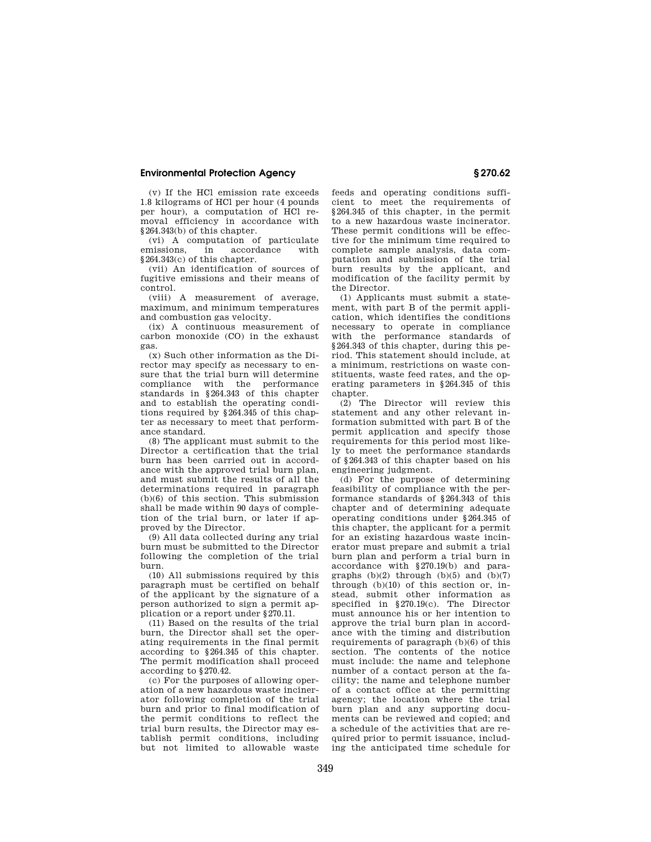## **Environmental Protection Agency § 270.62**

(v) If the HCl emission rate exceeds 1.8 kilograms of HCl per hour (4 pounds per hour), a computation of HCl removal efficiency in accordance with §264.343(b) of this chapter.

(vi) A computation of particulate<br>emissions in accordance with accordance §264.343(c) of this chapter.

(vii) An identification of sources of fugitive emissions and their means of control.

(viii) A measurement of average, maximum, and minimum temperatures and combustion gas velocity.

(ix) A continuous measurement of carbon monoxide (CO) in the exhaust gas.

(x) Such other information as the Director may specify as necessary to ensure that the trial burn will determine<br>compliance with the performance compliance with the standards in §264.343 of this chapter and to establish the operating conditions required by §264.345 of this chapter as necessary to meet that performance standard.

(8) The applicant must submit to the Director a certification that the trial burn has been carried out in accordance with the approved trial burn plan, and must submit the results of all the determinations required in paragraph (b)(6) of this section. This submission shall be made within 90 days of completion of the trial burn, or later if approved by the Director.

(9) All data collected during any trial burn must be submitted to the Director following the completion of the trial burn.

(10) All submissions required by this paragraph must be certified on behalf of the applicant by the signature of a person authorized to sign a permit application or a report under §270.11.

(11) Based on the results of the trial burn, the Director shall set the operating requirements in the final permit according to §264.345 of this chapter. The permit modification shall proceed according to §270.42.

(c) For the purposes of allowing operation of a new hazardous waste incinerator following completion of the trial burn and prior to final modification of the permit conditions to reflect the trial burn results, the Director may establish permit conditions, including but not limited to allowable waste

feeds and operating conditions sufficient to meet the requirements of §264.345 of this chapter, in the permit to a new hazardous waste incinerator. These permit conditions will be effective for the minimum time required to complete sample analysis, data computation and submission of the trial burn results by the applicant, and modification of the facility permit by the Director.

(1) Applicants must submit a statement, with part B of the permit application, which identifies the conditions necessary to operate in compliance with the performance standards of §264.343 of this chapter, during this period. This statement should include, at a minimum, restrictions on waste constituents, waste feed rates, and the operating parameters in §264.345 of this chapter.

(2) The Director will review this statement and any other relevant information submitted with part B of the permit application and specify those requirements for this period most likely to meet the performance standards of §264.343 of this chapter based on his engineering judgment.

(d) For the purpose of determining feasibility of compliance with the performance standards of §264.343 of this chapter and of determining adequate operating conditions under §264.345 of this chapter, the applicant for a permit for an existing hazardous waste incinerator must prepare and submit a trial burn plan and perform a trial burn in accordance with §270.19(b) and paragraphs  $(b)(2)$  through  $(b)(5)$  and  $(b)(7)$ through  $(b)(10)$  of this section or, instead, submit other information as specified in §270.19(c). The Director must announce his or her intention to approve the trial burn plan in accordance with the timing and distribution requirements of paragraph (b)(6) of this section. The contents of the notice must include: the name and telephone number of a contact person at the facility; the name and telephone number of a contact office at the permitting agency; the location where the trial burn plan and any supporting documents can be reviewed and copied; and a schedule of the activities that are required prior to permit issuance, including the anticipated time schedule for